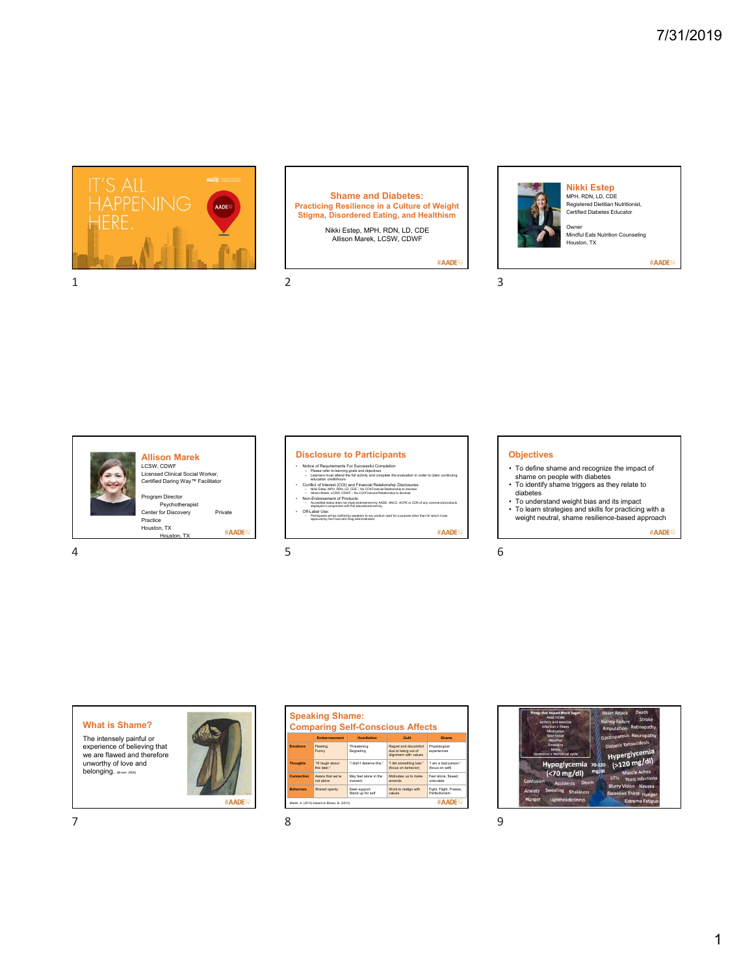

**Shame and Diabetes: Practicing Resilience in a Culture of Weight Stigma, Disordered Eating, and Healthism** Nikki Estep, MPH, RDN, LD, CDE Allison Marek, LCSW, CDWF

#AADE



**Allison Marek** LCSW, CDWF Licensed Clinical Social Worker, Certified Daring Way™ Facilitator Program Director Psychotherapist Center for Discovery Private

Practice Houston, TX #AADE Houston, TX

 $4\hspace{1.5cm}5\hspace{1.5cm}6$ 

# **Disclosure to Participants**

- Notice of Requirements For Successful Completion<br>– Please refer to learning goals and objectives<br>– Learners must attend the full activity and complete the evaluation in order to claim continuing<br>– education credithours
- 
- Conflict of Interest (COI) and Filmancial Relationship Disclosures:<br>- Nikk Edap, MPH, RDN, LD, CDE No COUFinancial Relationship to disclose<br>- Allion Marek, LCSW, CDWT-R-IN COUFinancial Relationship to disclose<br>- Allion
- Off-Label Use: Participants will be notified by speakers to any product used for a purpose other than for which it was approved by the Food and Drug Administration.
- #AADE

## **Objectives**

• To define shame and recognize the impact of

**Nikki Estep** MPH, RDN, LD, CDE Registered Dietitian Nutritionist, Certified Diabetes Educator

Mindful Eats Nutrition Counseling

Owner

Houston, TX

- shame on people with diabetes To identify shame triggers as they relate to
- diabetes
- To understand weight bias and its impact To learn strategies and skills for practicing with a weight neutral, shame resilience-based approach

#AADE

#AADE

### **What is Shame?**

The intensely painful or experience of believing that we are flawed and therefore unworthy of love and belonging. (Brown, 2006)



| <b>Speaking Shame:</b><br><b>Comparing Self-Conscious Affects</b> |                                   |                                   |                                                                       |                                         |
|-------------------------------------------------------------------|-----------------------------------|-----------------------------------|-----------------------------------------------------------------------|-----------------------------------------|
|                                                                   | <b>Embarrassment</b>              | <b>Humiliation</b>                | Guilt                                                                 | <b>Shame</b>                            |
| <b>Emotions</b>                                                   | Fleeting<br>Funny                 | Threatening<br>Degrading          | Regret and discomfort<br>due to being out of<br>alignment with values | Physiological<br>experiences            |
| <b>Thoughts</b>                                                   | "I'll laugh about<br>this later." | "I didn't deserve this."          | "I did something bad."<br>(focus on behavior)                         | "I am a bad parson."<br>(focus on self) |
| Connection                                                        | Aware that we're<br>not alone.    | May feel alone in the<br>moment   | Motivates us to make<br>amends                                        | Feel alone, flawed.<br>unlovable        |
| <b>Rehaviors</b>                                                  | Shared openly                     | Seek support<br>Stand up for self | Work to realign with<br>values                                        | Fight, Flight, Freeze,<br>Perfectionism |



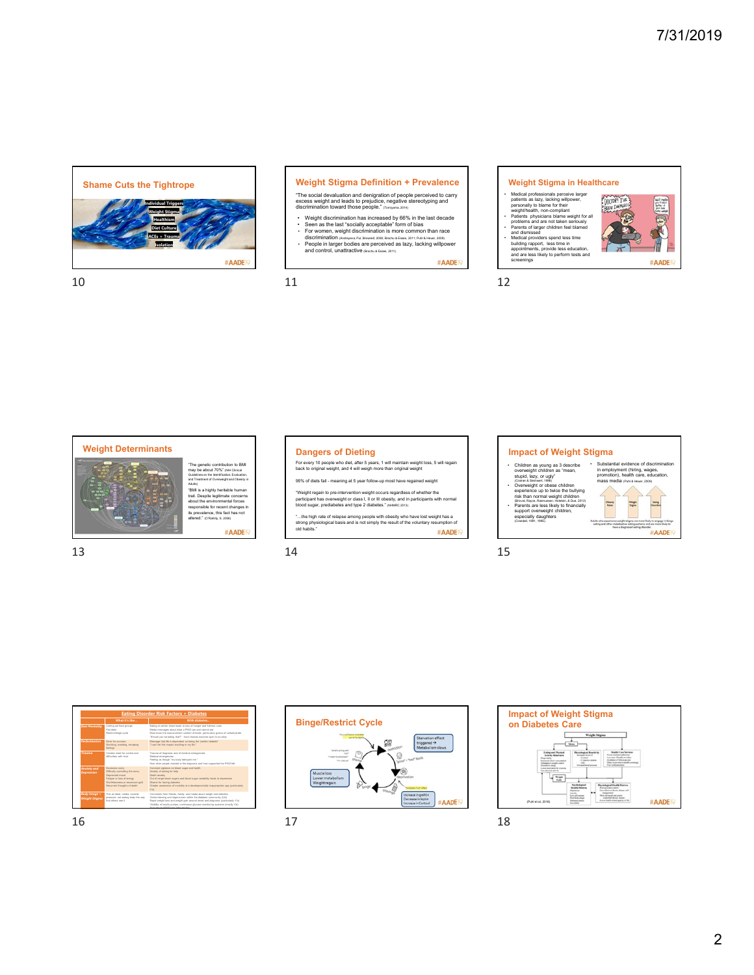### **Shame Cuts the Tightrope Individual Triggers Weight Stigma Healthism Diet Culture ACEs + Trauma Isolation** #AADE

10 11 12

# **Weight Stigma Definition + Prevalence**

- "The social devaluation and denigration of people perceived to carry excess weight and leads to prejudice, negative stereotyping and discrimination toward those people." (Tomiyama, 2014)
- Weight discrimination has increased by 66% in the last decade<br>- Seen as the last "socially acceptable" form of bias<br>- For women, weight discrimination is more common than race<br>- discrimination  $\mu_{\text{comp}}$  is a tensor and

# **Weight Stigma in Healthcare**

- 
- Modical professionals preceive larger<br>patients as lazy, lacking willpower,<br>patentally to blame for their<br>weight/health, non-compliant<br>weight/health, non-compliant<br>professionals as blame weight for all<br>professional distance
- 



#AADE



#### "The genetic contribution to BMI may be about 70%" (NIH Clinical Guidelines on the Identification, Evaluation, and Treatment of Overweight and Obesity in Adults) "BMI is a highly heritable human trait. Despite legitimate concerns nental forces responsible for recent changes in its prevalence, this fact has not altered." (O'Rahilly, S. 2006)

#AADE

# **Dangers of Dieting**

For every 10 people who diet, after 5 years, 1 will maintain weight loss, 5 will regain back to original weight, and 4 will weigh more than original weight 95% of diets fail - meaning at 5 year follow-up most have regained weight

"Weight regain to pre-intervention weight occurs regardless of whether the<br>participant has overweight or class I, II or III obesity, and in participants with normal<br>blood sugar, prediabetes and type 2 diabetes." (wiwisc 20

الله the high rate of relapse among people with obesity who have lost weight has a<br>strong physiological basis and is not simply the result of the voluntary resumption of<br>old habits." #AADE

13 14 15

### **Impact of Weight Stigma** • Substantial evidence of discrimination in employment (hiring, wages, promotion), health care, education, mass media (Puhl & Heuer, 2009) Children as young as 3 describe<br>stupids, lazy, or ugly<br>stupids, lazy, or ugly<br>Comer & Stemest, 1999<br>Overweight or obses children<br>operience up to twice the bullying<br>risk fran normal weight children<br>skipan comes as less like **Leire Youth** especially daughters (Crandall, 1991, 1995). #AADE







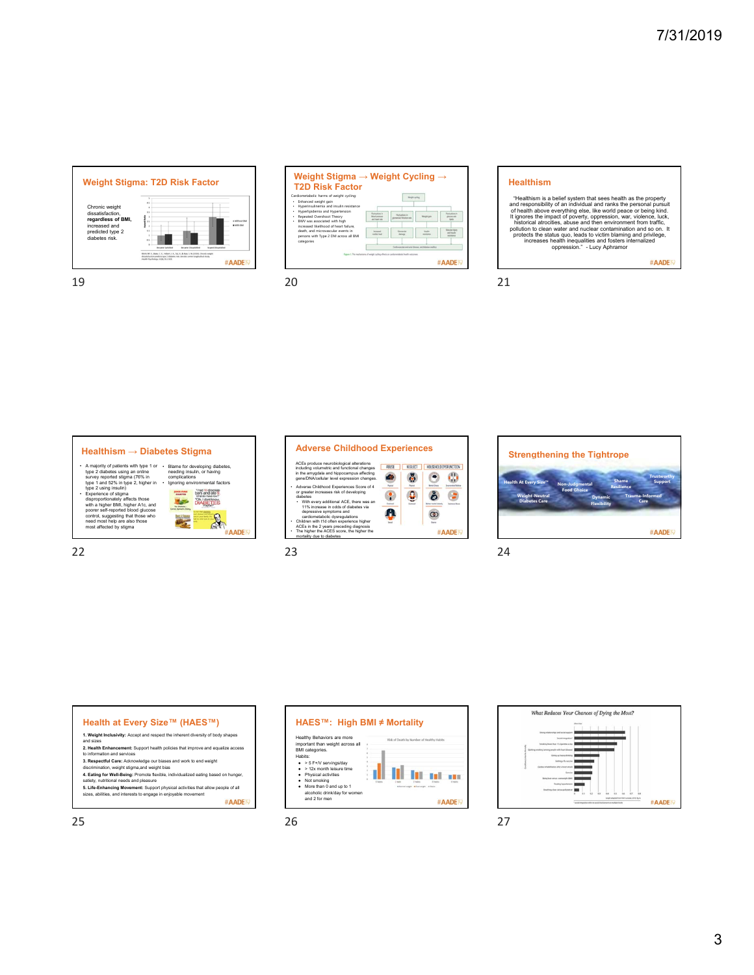#### **Weight Stigma: T2D Risk Factor** Chronic weight dissatisfaction,  $\frac{1}{2}$ **regardless of BMI,** increased and predicted type 2 a Without B<br>■ With BM diabetes risk. u. Werk, M. D., Wa<br>Antarketion p<br>Mestin Paychola #AADE 19 20 21

**Weight Stigma → Weight Cycling → T2D Risk Factor**  $\sim$  matrices Cardiometabolic harms of weight cycling: • Enhanced weight gain • Hyperinsulinemia and insulin resistance • Hyperlipidemia and Hypertension • Repeated Overshoot Theory • BWV was associated with high increased likelihood of heart failure,  $\begin{tabular}{|c|c|c|c|} \hline \begin{tabular}{|c|c|c|} \hline \begin{tabular}{|c|c|} \hline \begin{tabular}{|c|c|} \hline \begin{tabular}{|c|c|} \hline \begin{tabular}{|c|c|} \hline \begin{tabular}{|c|c|} \hline \begin{tabular}{|c|c|} \hline \begin{tabular}{|c|c|} \hline \begin{tabular}{|c|c|} \hline \begin{tabular}{|c|c|} \hline \begin{tabular}{|c|c|} \hline \begin{tabular}{|c|c|} \hline \begin{tabular}{|c|c|} \hline \begin{tab$ death, and microvascular events in persons with Type 2 DM across all BMI categories #AADE

### **Healthism**















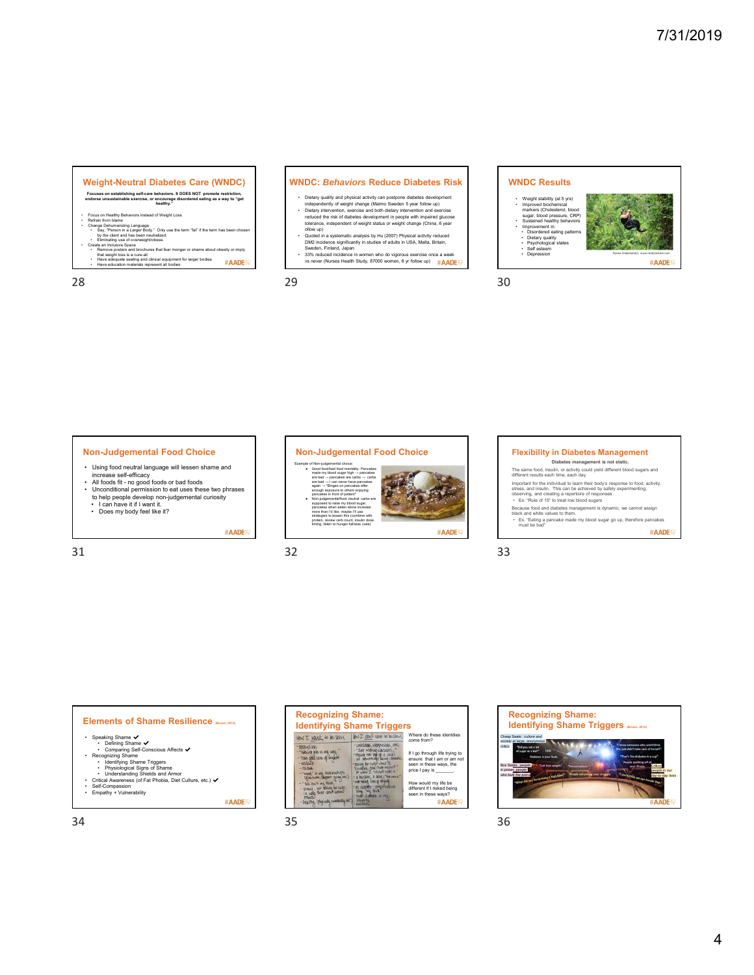# **Weight-Neutral Diabetes Care (WNDC) Focuses on establishing self-care behaviors. It DOES NOT promote restriction, endorse unsustainable exercise, or encourage disordered eating as a way to "get healthy."**

#### • Focus on Healthy Behaviors instead of Weight Loss • Refrain from blame

- Change Dehumanizing Language<br>  $\frac{1}{2}$  Say, "Person in a Langer Body." Only use the term "fat" if the term has been chosen<br>
by the client and has been neutralized.<br>
Creatis an individual exponential conditions:<br>
Creatis
- 
- #AADE<sup>IC</sup>

**WNDC:** *Behaviors* **Reduce Diabetes Risk**

- 
- Dietary quality and physical activity can postpone diabetes development<br>independently of weight change (Malmo Sweden 5 year follow up)<br>Dietary intervention, exercise and both dietary intervention and exercise<br>reduced the r
- Quoted in a systematic analysis by Hu (2007) Physical activity reduced DM2 incidence significantly in studies of adults in USA, Malta, Britain, Sweden, Finland, Japan
- 33% reduced incidence in women who do vigorous exercise once a week<br>vs never (Nurses Health Study, 87000 women, 8 yr follow up) # A A D

# **WNDC Results**



28 29 30

#### **Non-Judgemental Food Choice**

- 
- 
- Using food neutral language will lessen shame and<br>• All foods fit no good foods or bad foods<br>• All foods fit no good foods or bad foods<br>• Unconditional permission to eat uses these two phrases<br>• to help people devel
	-
- 

#AADE



**Flexibility in Diabetes Management**<br>Diabetes management is not static.

The same food, insults, consider an<br>angement is not static. The same food insult, or activity could yield different test<br>list each time, each day<br>important for the individual to learn their tody's response to food, activi

#AADE







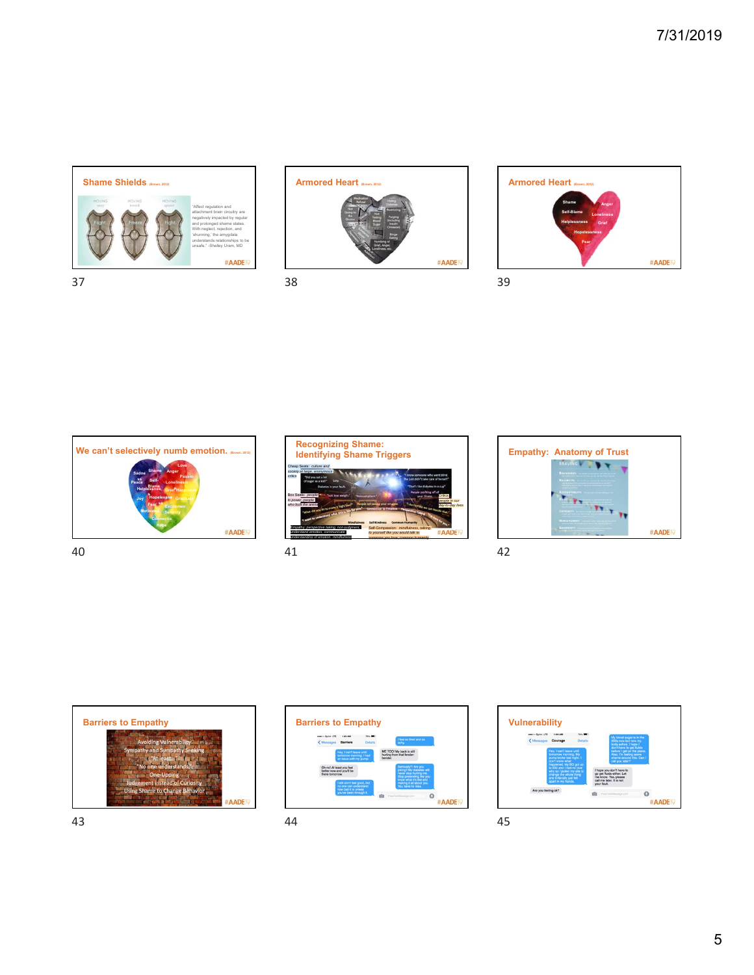



 $37$   $38$ 







40 41 42